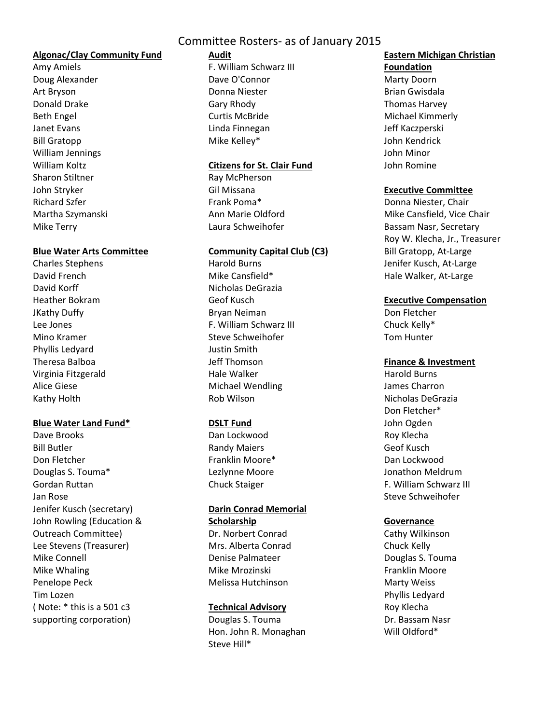### **Algonac/Clay Community Fund**

Amy Amiels Doug Alexander Art Bryson Donald Drake Beth Engel Janet Evans Bill Gratopp William Jennings William Koltz Sharon Stiltner John Stryker Richard Szfer Martha Szymanski Mike Terry

### **Blue Water Arts Committee**

Charles Stephens David French David Korff Heather Bokram JKathy Duffy Lee Jones Mino Kramer Phyllis Ledyard Theresa Balboa Virginia Fitzgerald Alice Giese Kathy Holth

### **Blue Water Land Fund\***

Dave Brooks Bill Butler Don Fletcher Douglas S. Touma\* Gordan Ruttan Jan Rose Jenifer Kusch (secretary) John Rowling (Education & Outreach Committee) Lee Stevens (Treasurer) Mike Connell Mike Whaling Penelope Peck Tim Lozen ( Note: \* this is a 501 c3 supporting corporation)

# Committee Rosters‐ as of January 2015

### **Audit**

F. William Schwarz III Dave O'Connor Donna Niester Gary Rhody Curtis McBride Linda Finnegan Mike Kelley\*

### **Citizens for St. Clair Fund**

Ray McPherson Gil Missana Frank Poma\* Ann Marie Oldford Laura Schweihofer

# **Community Capital Club (C3)**

Harold Burns Mike Cansfield\* Nicholas DeGrazia Geof Kusch Bryan Neiman F. William Schwarz III Steve Schweihofer Justin Smith Jeff Thomson Hale Walker Michael Wendling Rob Wilson

# **DSLT Fund**

Dan Lockwood Randy Maiers Franklin Moore\* Lezlynne Moore Chuck Staiger

# **Darin Conrad Memorial**

**Scholarship** Dr. Norbert Conrad Mrs. Alberta Conrad Denise Palmateer Mike Mrozinski Melissa Hutchinson

# **Technical Advisory**

Douglas S. Touma Hon. John R. Monaghan Steve Hill\*

#### **Eastern Michigan Christian Foundation**

Marty Doorn Brian Gwisdala Thomas Harvey Michael Kimmerly Jeff Kaczperski John Kendrick John Minor John Romine

# **Executive Committee**

Donna Niester, Chair Mike Cansfield, Vice Chair Bassam Nasr, Secretary Roy W. Klecha, Jr., Treasurer Bill Gratopp, At‐Large Jenifer Kusch, At‐Large Hale Walker, At‐Large

# **Executive Compensation**

Don Fletcher Chuck Kelly\* Tom Hunter

### **Finance & Investment**

Harold Burns James Charron Nicholas DeGrazia Don Fletcher\* John Ogden Roy Klecha Geof Kusch Dan Lockwood Jonathon Meldrum F. William Schwarz III Steve Schweihofer

# **Governance**

Cathy Wilkinson Chuck Kelly Douglas S. Touma Franklin Moore Marty Weiss Phyllis Ledyard Roy Klecha Dr. Bassam Nasr Will Oldford\*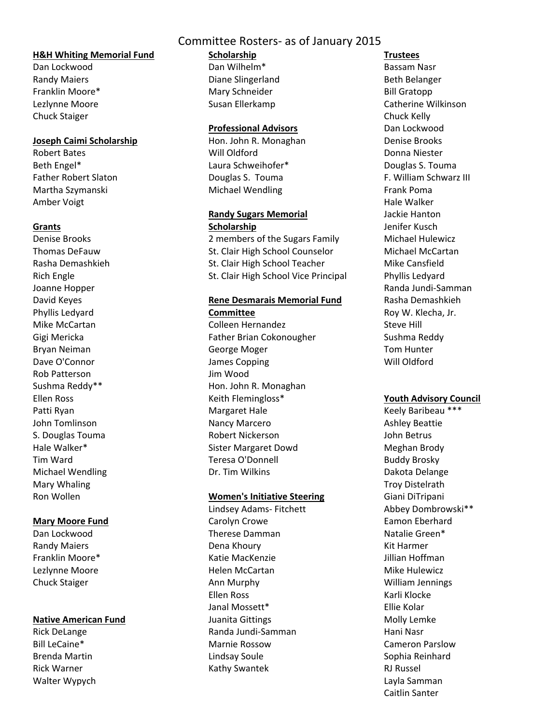### **H&H Whiting Memorial Fund**

Dan Lockwood Randy Maiers Franklin Moore\* Lezlynne Moore Chuck Staiger

#### **Joseph Caimi Scholarship**

Robert Bates Beth Engel\* Father Robert Slaton Martha Szymanski Amber Voigt

#### **Grants**

Denise Brooks Thomas DeFauw Rasha Demashkieh Rich Engle Joanne Hopper David Keyes Phyllis Ledyard Mike McCartan Gigi Mericka Bryan Neiman Dave O'Connor Rob Patterson Sushma Reddy\*\* Ellen Ross Patti Ryan John Tomlinson S. Douglas Touma Hale Walker\* Tim Ward Michael Wendling Mary Whaling Ron Wollen

### **Mary Moore Fund**

Dan Lockwood Randy Maiers Franklin Moore\* Lezlynne Moore Chuck Staiger

#### **Native American Fund**

Rick DeLange Bill LeCaine\* Brenda Martin Rick Warner Walter Wypych

### Committee Rosters‐ as of January 2015

**Scholarship** Dan Wilhelm\* Diane Slingerland Mary Schneider Susan Ellerkamp

#### **Professional Advisors**

Hon. John R. Monaghan Will Oldford Laura Schweihofer\* Douglas S. Touma Michael Wendling

### **Randy Sugars Memorial Scholarship**

2 members of the Sugars Family St. Clair High School Counselor St. Clair High School Teacher St. Clair High School Vice Principal

### **Rene Desmarais Memorial Fund Committee**

Colleen Hernandez Father Brian Cokonougher George Moger James Copping Jim Wood Hon. John R. Monaghan Keith Flemingloss\* Margaret Hale Nancy Marcero Robert Nickerson Sister Margaret Dowd Teresa O'Donnell Dr. Tim Wilkins

### **Women's Initiative Steering**

Lindsey Adams‐ Fitchett Carolyn Crowe Therese Damman Dena Khoury Katie MacKenzie Helen McCartan Ann Murphy Ellen Ross Janal Mossett\* Juanita Gittings Randa Jundi‐Samman Marnie Rossow Lindsay Soule Kathy Swantek

#### **Trustees**

Bassam Nasr Beth Belanger Bill Gratopp Catherine Wilkinson Chuck Kelly Dan Lockwood Denise Brooks Donna Niester Douglas S. Touma F. William Schwarz III Frank Poma Hale Walker Jackie Hanton Jenifer Kusch Michael Hulewicz Michael McCartan Mike Cansfield Phyllis Ledyard Randa Jundi‐Samman Rasha Demashkieh Roy W. Klecha, Jr. Steve Hill Sushma Reddy Tom Hunter Will Oldford

### **Youth Advisory Council**

Keely Baribeau \*\*\* Ashley Beattie John Betrus Meghan Brody Buddy Brosky Dakota Delange Troy Distelrath Giani DiTripani Abbey Dombrowski\*\* Eamon Eberhard Natalie Green\* Kit Harmer Jillian Hoffman Mike Hulewicz William Jennings Karli Klocke Ellie Kolar Molly Lemke Hani Nasr Cameron Parslow Sophia Reinhard RJ Russel Layla Samman Caitlin Santer